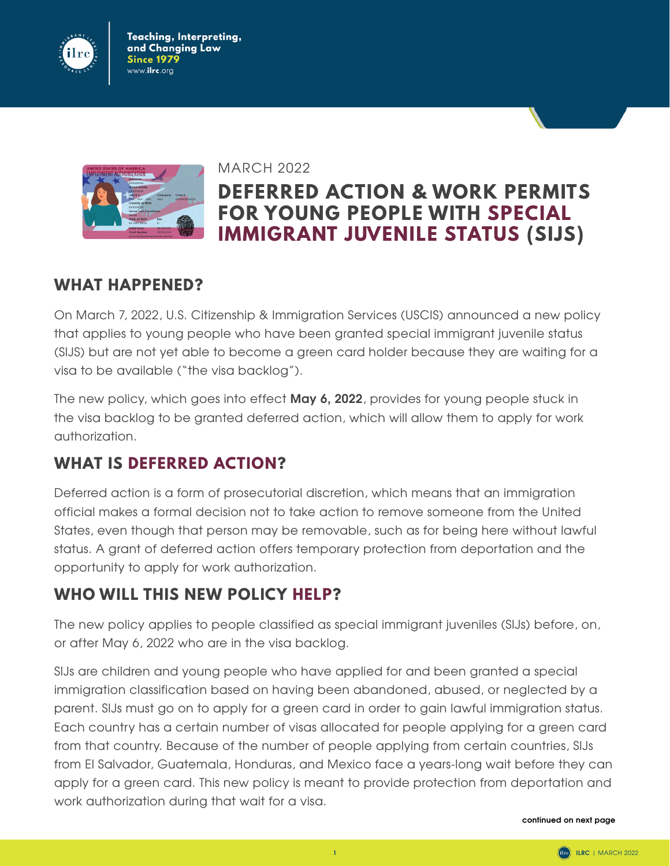

www.ilrc.org Teaching, Interpreting, and Changing Law Since 1979



MARCH 2022

# **DEFERRED ACTION & WORK PERMITS FOR YOUNG PEOPLE WITH SPECIAL IMMIGRANT JUVENILE STATUS (SIJS)**

#### **WHAT HAPPENED?**

On March 7, 2022, U.S. Citizenship & Immigration Services (USCIS) announced a new policy that applies to young people who have been granted special immigrant juvenile status (SIJS) but are not yet able to become a green card holder because they are waiting for a visa to be available ("the visa backlog").

The new policy, which goes into effect **May 6, 2022**, provides for young people stuck in the visa backlog to be granted deferred action, which will allow them to apply for work authorization.

## **WHAT IS DEFERRED ACTION?**

Deferred action is a form of prosecutorial discretion, which means that an immigration official makes a formal decision not to take action to remove someone from the United States, even though that person may be removable, such as for being here without lawful status. A grant of deferred action offers temporary protection from deportation and the opportunity to apply for work authorization.

### **WHO WILL THIS NEW POLICY HELP?**

The new policy applies to people classified as special immigrant juveniles (SIJs) before, on, or after May 6, 2022 who are in the visa backlog.

SIJs are children and young people who have applied for and been granted a special immigration classification based on having been abandoned, abused, or neglected by a parent. SIJs must go on to apply for a green card in order to gain lawful immigration status. Each country has a certain number of visas allocated for people applying for a green card from that country. Because of the number of people applying from certain countries, SIJs from El Salvador, Guatemala, Honduras, and Mexico face a years-long wait before they can apply for a green card. This new policy is meant to provide protection from deportation and work authorization during that wait for a visa.

**continued on next page**

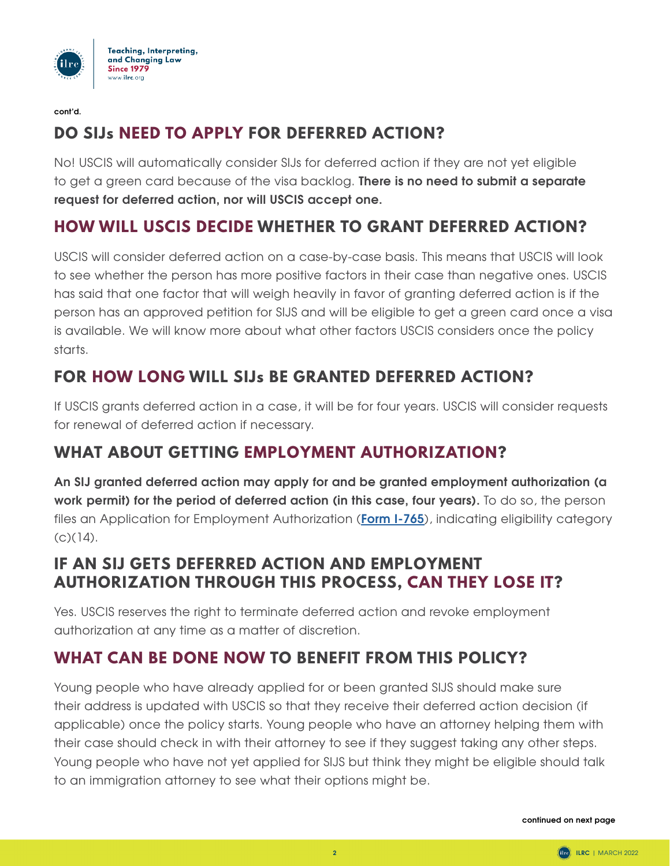

**cont'd.**

## **DO SIJs NEED TO APPLY FOR DEFERRED ACTION?**

No! USCIS will automatically consider SIJs for deferred action if they are not yet eligible to get a green card because of the visa backlog. **There is no need to submit a separate request for deferred action, nor will USCIS accept one.** 

## **HOW WILL USCIS DECIDE WHETHER TO GRANT DEFERRED ACTION?**

USCIS will consider deferred action on a case-by-case basis. This means that USCIS will look to see whether the person has more positive factors in their case than negative ones. USCIS has said that one factor that will weigh heavily in favor of granting deferred action is if the person has an approved petition for SIJS and will be eligible to get a green card once a visa is available. We will know more about what other factors USCIS considers once the policy starts.

## **FOR HOW LONG WILL SIJs BE GRANTED DEFERRED ACTION?**

If USCIS grants deferred action in a case, it will be for four years. USCIS will consider requests for renewal of deferred action if necessary.

### **WHAT ABOUT GETTING EMPLOYMENT AUTHORIZATION?**

**An SIJ granted deferred action may apply for and be granted employment authorization (a work permit) for the period of deferred action (in this case, four years).** To do so, the person files an Application for Employment Authorization (**[Form I-765](https://www.uscis.gov/i-765)**), indicating eligibility category  $(C)(14)$ .

### **IF AN SIJ GETS DEFERRED ACTION AND EMPLOYMENT AUTHORIZATION THROUGH THIS PROCESS, CAN THEY LOSE IT?**

Yes. USCIS reserves the right to terminate deferred action and revoke employment authorization at any time as a matter of discretion.

## **WHAT CAN BE DONE NOW TO BENEFIT FROM THIS POLICY?**

Young people who have already applied for or been granted SIJS should make sure their address is updated with USCIS so that they receive their deferred action decision (if applicable) once the policy starts. Young people who have an attorney helping them with their case should check in with their attorney to see if they suggest taking any other steps. Young people who have not yet applied for SIJS but think they might be eligible should talk to an immigration attorney to see what their options might be.